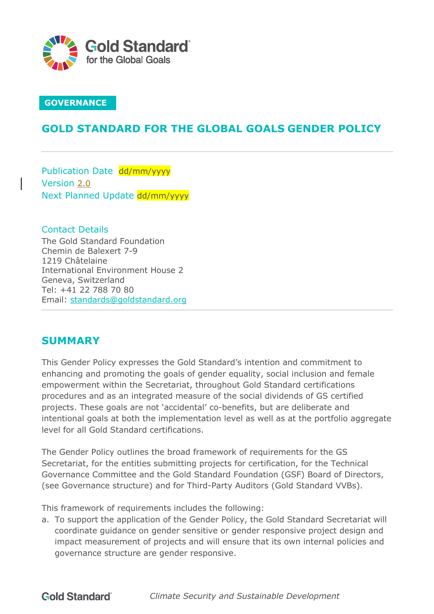

### **GOVERNANCE**

### **GOLD STANDARD FOR THE GLOBAL GOALS GENDER POLICY**

Publication Date dd/mm/yyyy Version 2.0 Next Planned Update dd/mm/yyyy

Contact Details The Gold Standard Foundation Chemin de Balexert 7-9 1219 Châtelaine International Environment House 2 Geneva, Switzerland Tel: +41 22 788 70 80 Email: standards@goldstandard.org

### **SUMMARY**

This Gender Policy expresses the Gold Standard's intention and commitment to enhancing and promoting the goals of gender equality, social inclusion and female empowerment within the Secretariat, throughout Gold Standard certifications procedures and as an integrated measure of the social dividends of GS certified projects. These goals are not 'accidental' co-benefits, but are deliberate and intentional goals at both the implementation level as well as at the portfolio aggregate level for all Gold Standard certifications.

The Gender Policy outlines the broad framework of requirements for the GS Secretariat, for the entities submitting projects for certification, for the Technical Governance Committee and the Gold Standard Foundation (GSF) Board of Directors, (see Governance structure) and for Third-Party Auditors (Gold Standard VVBs).

This framework of requirements includes the following:

a. To support the application of the Gender Policy, the Gold Standard Secretariat will coordinate guidance on gender sensitive or gender responsive project design and impact measurement of projects and will ensure that its own internal policies and governance structure are gender responsive.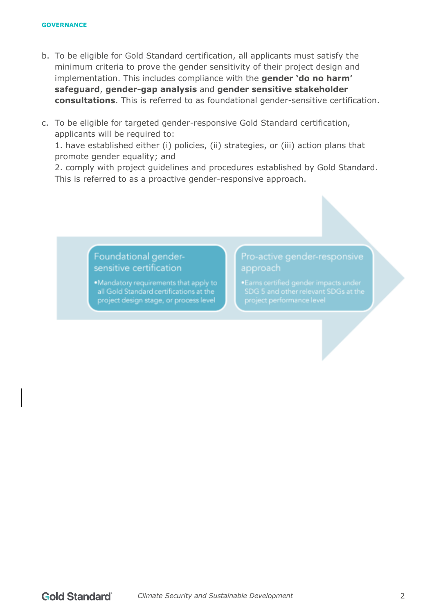- b. To be eligible for Gold Standard certification, all applicants must satisfy the minimum criteria to prove the gender sensitivity of their project design and implementation. This includes compliance with the **gender 'do no harm' safeguard**, **gender-gap analysis** and **gender sensitive stakeholder consultations**. This is referred to as foundational gender-sensitive certification.
- c. To be eligible for targeted gender-responsive Gold Standard certification, applicants will be required to:

1. have established either (i) policies, (ii) strategies, or (iii) action plans that promote gender equality; and

2. comply with project guidelines and procedures established by Gold Standard. This is referred to as a proactive gender-responsive approach.

> Foundational gendersensitive certification

.Mandatory requirements that apply to all Gold Standard certifications at the project design stage, or process level

### Pro-active gender-responsive approach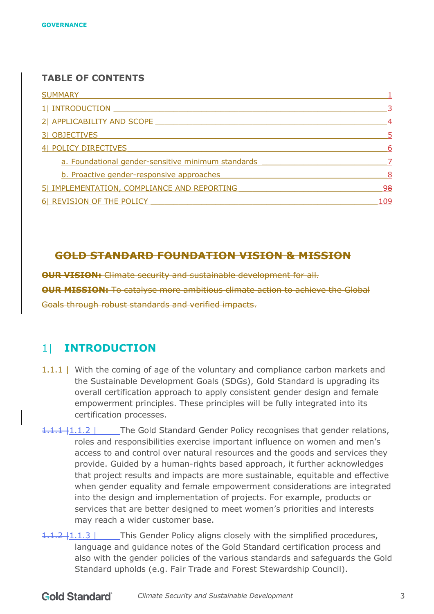#### **TABLE OF CONTENTS**

| <b>SUMMARY</b>                                     |   |
|----------------------------------------------------|---|
| 1  INTRODUCTION                                    | 3 |
| 21 APPLICABILITY AND SCOPE                         | 4 |
| 31 OBJECTIVES                                      | 5 |
| 4 POLICY DIRECTIVES                                | 6 |
| a. Foundational gender-sensitive minimum standards |   |
| b. Proactive gender-responsive approaches          | 8 |
| 5  IMPLEMENTATION, COMPLIANCE AND REPORTING        |   |
| 6  REVISION OF THE POLICY                          |   |

### **GOLD STANDARD FOUNDATION VISION & MISSION**

**OUR VISION:** Climate security and sustainable development for all. **OUR MISSION:** To catalyse more ambitious climate action to achieve the Global Goals through robust standards and verified impacts.

### 1| **INTRODUCTION**

- 1.1.1 | With the coming of age of the voluntary and compliance carbon markets and the Sustainable Development Goals (SDGs), Gold Standard is upgrading its overall certification approach to apply consistent gender design and female empowerment principles. These principles will be fully integrated into its certification processes.
- 1.1.1 |1.1.2 | The Gold Standard Gender Policy recognises that gender relations, roles and responsibilities exercise important influence on women and men's access to and control over natural resources and the goods and services they provide. Guided by a human-rights based approach, it further acknowledges that project results and impacts are more sustainable, equitable and effective when gender equality and female empowerment considerations are integrated into the design and implementation of projects. For example, products or services that are better designed to meet women's priorities and interests may reach a wider customer base.
- 1.1.2 | 1.1.3 | This Gender Policy aligns closely with the simplified procedures, language and guidance notes of the Gold Standard certification process and also with the gender policies of the various standards and safeguards the Gold Standard upholds (e.g. Fair Trade and Forest Stewardship Council).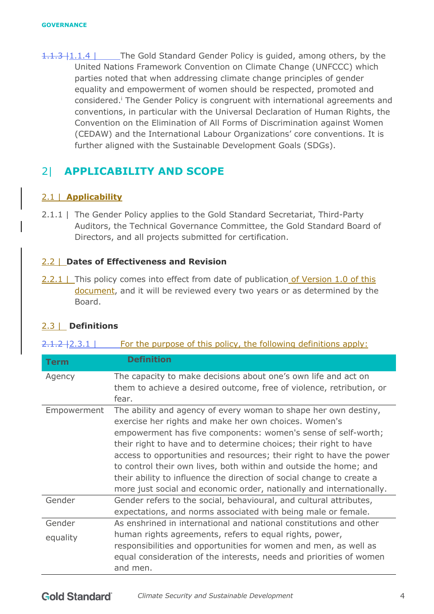1.1.3 | 1.1.4 | The Gold Standard Gender Policy is guided, among others, by the United Nations Framework Convention on Climate Change (UNFCCC) which parties noted that when addressing climate change principles of gender equality and empowerment of women should be respected, promoted and considered.<sup>*i*</sup> The Gender Policy is congruent with international agreements and conventions, in particular with the Universal Declaration of Human Rights, the Convention on the Elimination of All Forms of Discrimination against Women (CEDAW) and the International Labour Organizations' core conventions. It is further aligned with the Sustainable Development Goals (SDGs).

# 2| **APPLICABILITY AND SCOPE**

### 2.1 | **Applicability**

2.1.1 | The Gender Policy applies to the Gold Standard Secretariat, Third-Party Auditors, the Technical Governance Committee, the Gold Standard Board of Directors, and all projects submitted for certification.

### 2.2 | **Dates of Effectiveness and Revision**

2.2.1 | This policy comes into effect from date of publication of Version 1.0 of this document, and it will be reviewed every two years or as determined by the Board.

### 2.3 | **Definitions**

|  |  | $2.1.2 + 2.3.1$ |  |  |  |  | For the purpose of this policy, the following definitions apply: |  |  |
|--|--|-----------------|--|--|--|--|------------------------------------------------------------------|--|--|
|--|--|-----------------|--|--|--|--|------------------------------------------------------------------|--|--|

| <b>Term</b> | <b>Definition</b>                                                                                                                                                                                                                                                                                                                                                                                                                                                                                                                                            |
|-------------|--------------------------------------------------------------------------------------------------------------------------------------------------------------------------------------------------------------------------------------------------------------------------------------------------------------------------------------------------------------------------------------------------------------------------------------------------------------------------------------------------------------------------------------------------------------|
| Agency      | The capacity to make decisions about one's own life and act on<br>them to achieve a desired outcome, free of violence, retribution, or<br>fear.                                                                                                                                                                                                                                                                                                                                                                                                              |
| Empowerment | The ability and agency of every woman to shape her own destiny,<br>exercise her rights and make her own choices. Women's<br>empowerment has five components: women's sense of self-worth;<br>their right to have and to determine choices; their right to have<br>access to opportunities and resources; their right to have the power<br>to control their own lives, both within and outside the home; and<br>their ability to influence the direction of social change to create a<br>more just social and economic order, nationally and internationally. |
| Gender      | Gender refers to the social, behavioural, and cultural attributes,<br>expectations, and norms associated with being male or female.                                                                                                                                                                                                                                                                                                                                                                                                                          |
| Gender      | As enshrined in international and national constitutions and other                                                                                                                                                                                                                                                                                                                                                                                                                                                                                           |
| equality    | human rights agreements, refers to equal rights, power,<br>responsibilities and opportunities for women and men, as well as<br>equal consideration of the interests, needs and priorities of women<br>and men.                                                                                                                                                                                                                                                                                                                                               |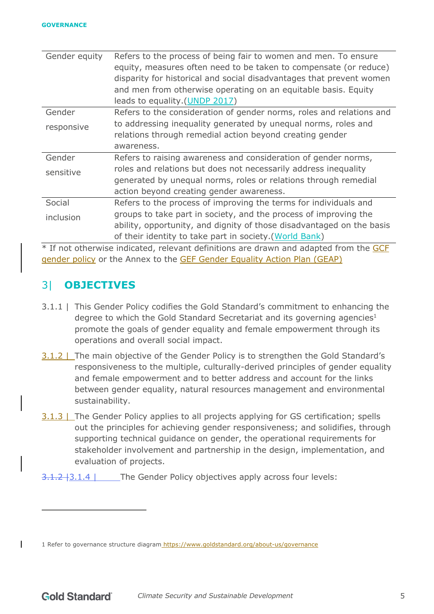| Gender equity | Refers to the process of being fair to women and men. To ensure       |
|---------------|-----------------------------------------------------------------------|
|               | equity, measures often need to be taken to compensate (or reduce)     |
|               | disparity for historical and social disadvantages that prevent women  |
|               | and men from otherwise operating on an equitable basis. Equity        |
|               | leads to equality. (UNDP 2017)                                        |
| Gender        | Refers to the consideration of gender norms, roles and relations and  |
| responsive    | to addressing inequality generated by unequal norms, roles and        |
|               | relations through remedial action beyond creating gender              |
|               | awareness.                                                            |
| Gender        | Refers to raising awareness and consideration of gender norms,        |
| sensitive     | roles and relations but does not necessarily address inequality       |
|               | generated by unequal norms, roles or relations through remedial       |
|               | action beyond creating gender awareness.                              |
| Social        | Refers to the process of improving the terms for individuals and      |
| inclusion     | groups to take part in society, and the process of improving the      |
|               | ability, opportunity, and dignity of those disadvantaged on the basis |
|               | of their identity to take part in society. (World Bank)               |

\* If not otherwise indicated, relevant definitions are drawn and adapted from the GCF gender policy or the Annex to the GEF Gender Equality Action Plan (GEAP)

## 3| **OBJECTIVES**

 $\mathbf{I}$ 

- 3.1.1 | This Gender Policy codifies the Gold Standard's commitment to enhancing the degree to which the Gold Standard Secretariat and its governing agencies<sup>1</sup> promote the goals of gender equality and female empowerment through its operations and overall social impact.
- 3.1.2 | The main objective of the Gender Policy is to strengthen the Gold Standard's responsiveness to the multiple, culturally-derived principles of gender equality and female empowerment and to better address and account for the links between gender equality, natural resources management and environmental sustainability.
- 3.1.3 | The Gender Policy applies to all projects applying for GS certification; spells out the principles for achieving gender responsiveness; and solidifies, through supporting technical guidance on gender, the operational requirements for stakeholder involvement and partnership in the design, implementation, and evaluation of projects.
- 3.1.2 | 3.1.4 | The Gender Policy objectives apply across four levels:

<sup>1</sup> Refer to governance structure diagram https://www.goldstandard.org/about-us/governance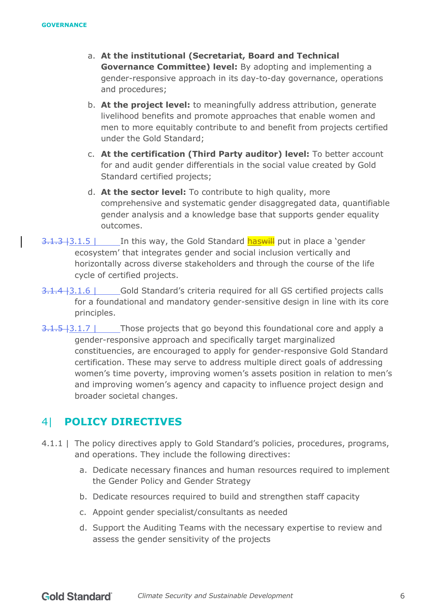- a. **At the institutional (Secretariat, Board and Technical Governance Committee) level:** By adopting and implementing a gender-responsive approach in its day-to-day governance, operations and procedures;
- b. **At the project level:** to meaningfully address attribution, generate livelihood benefits and promote approaches that enable women and men to more equitably contribute to and benefit from projects certified under the Gold Standard;
- c. **At the certification (Third Party auditor) level:** To better account for and audit gender differentials in the social value created by Gold Standard certified projects;
- d. **At the sector level:** To contribute to high quality, more comprehensive and systematic gender disaggregated data, quantifiable gender analysis and a knowledge base that supports gender equality outcomes.
- 3.1.3 | 3.1.3 | In this way, the Gold Standard **has will** put in place a 'gender ecosystem' that integrates gender and social inclusion vertically and horizontally across diverse stakeholders and through the course of the life cycle of certified projects.
- 3.1.4 | 3.1.6 | Gold Standard's criteria required for all GS certified projects calls for a foundational and mandatory gender-sensitive design in line with its core principles.
- $\overline{3.1.5}$  | 3.1.7 | Those projects that go beyond this foundational core and apply a gender-responsive approach and specifically target marginalized constituencies, are encouraged to apply for gender-responsive Gold Standard certification. These may serve to address multiple direct goals of addressing women's time poverty, improving women's assets position in relation to men's and improving women's agency and capacity to influence project design and broader societal changes.

### 4| **POLICY DIRECTIVES**

- 4.1.1 | The policy directives apply to Gold Standard's policies, procedures, programs, and operations. They include the following directives:
	- a. Dedicate necessary finances and human resources required to implement the Gender Policy and Gender Strategy
	- b. Dedicate resources required to build and strengthen staff capacity
	- c. Appoint gender specialist/consultants as needed
	- d. Support the Auditing Teams with the necessary expertise to review and assess the gender sensitivity of the projects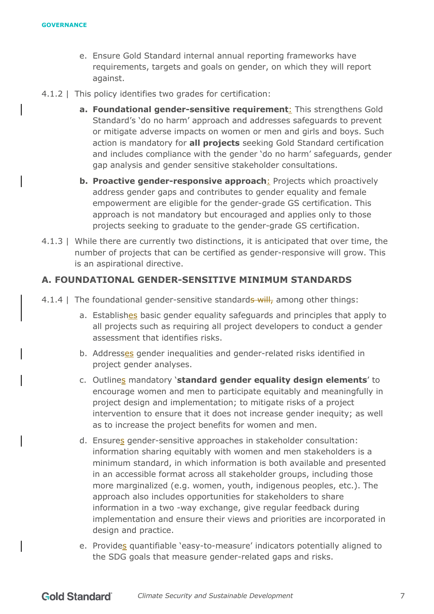- e. Ensure Gold Standard internal annual reporting frameworks have requirements, targets and goals on gender, on which they will report against.
- 4.1.2 | This policy identifies two grades for certification:
	- **a. Foundational gender-sensitive requirement**: This strengthens Gold Standard's 'do no harm' approach and addresses safeguards to prevent or mitigate adverse impacts on women or men and girls and boys. Such action is mandatory for **all projects** seeking Gold Standard certification and includes compliance with the gender 'do no harm' safeguards, gender gap analysis and gender sensitive stakeholder consultations.
	- **b. Proactive gender-responsive approach**: Projects which proactively address gender gaps and contributes to gender equality and female empowerment are eligible for the gender-grade GS certification. This approach is not mandatory but encouraged and applies only to those projects seeking to graduate to the gender-grade GS certification.
- 4.1.3 | While there are currently two distinctions, it is anticipated that over time, the number of projects that can be certified as gender-responsive will grow. This is an aspirational directive.

#### **A. FOUNDATIONAL GENDER-SENSITIVE MINIMUM STANDARDS**

- 4.1.4 | The foundational gender-sensitive standards will, among other things:
	- a. Establishes basic gender equality safeguards and principles that apply to all projects such as requiring all project developers to conduct a gender assessment that identifies risks.
	- b. Addresses gender inequalities and gender-related risks identified in project gender analyses.
	- c. Outlines mandatory '**standard gender equality design elements**' to encourage women and men to participate equitably and meaningfully in project design and implementation; to mitigate risks of a project intervention to ensure that it does not increase gender inequity; as well as to increase the project benefits for women and men.
	- d. Ensures gender-sensitive approaches in stakeholder consultation: information sharing equitably with women and men stakeholders is a minimum standard, in which information is both available and presented in an accessible format across all stakeholder groups, including those more marginalized (e.g. women, youth, indigenous peoples, etc.). The approach also includes opportunities for stakeholders to share information in a two -way exchange, give regular feedback during implementation and ensure their views and priorities are incorporated in design and practice.
	- e. Provides quantifiable 'easy-to-measure' indicators potentially aligned to the SDG goals that measure gender-related gaps and risks.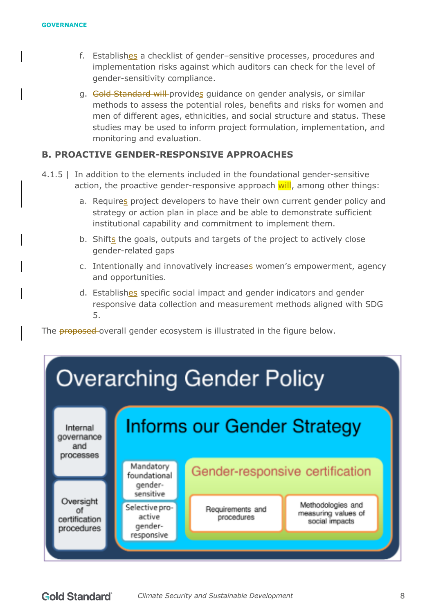- f. Establishes a checklist of gender–sensitive processes, procedures and implementation risks against which auditors can check for the level of gender-sensitivity compliance.
- g. Gold Standard will provides quidance on gender analysis, or similar methods to assess the potential roles, benefits and risks for women and men of different ages, ethnicities, and social structure and status. These studies may be used to inform project formulation, implementation, and monitoring and evaluation.

### **B. PROACTIVE GENDER-RESPONSIVE APPROACHES**

- 4.1.5 | In addition to the elements included in the foundational gender-sensitive action, the proactive gender-responsive approach-will, among other things:
	- a. Requires project developers to have their own current gender policy and strategy or action plan in place and be able to demonstrate sufficient institutional capability and commitment to implement them.
	- b. Shifts the goals, outputs and targets of the project to actively close gender-related gaps
	- c. Intentionally and innovatively increases women's empowerment, agency and opportunities.
	- d. Establishes specific social impact and gender indicators and gender responsive data collection and measurement methods aligned with SDG 5.

The **proposed**-overall gender ecosystem is illustrated in the figure below.

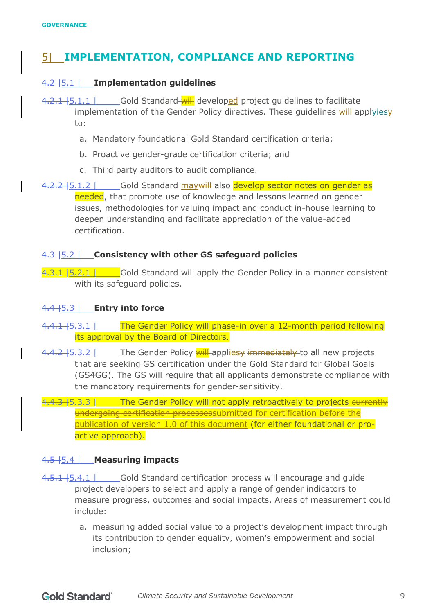## 5| **IMPLEMENTATION, COMPLIANCE AND REPORTING**

### 4.2 |5.1 | **Implementation guidelines**

- 4.2.1 | 5.1.1 | Gold Standard will developed project quidelines to facilitate implementation of the Gender Policy directives. These quidelines will applyiesy to:
	- a. Mandatory foundational Gold Standard certification criteria;
	- b. Proactive gender-grade certification criteria; and
	- c. Third party auditors to audit compliance.
- 4.2.2 | 5.1.2 | Gold Standard may will also develop sector notes on gender as needed, that promote use of knowledge and lessons learned on gender issues, methodologies for valuing impact and conduct in-house learning to deepen understanding and facilitate appreciation of the value-added certification.

#### 4.3 |5.2 | **Consistency with other GS safeguard policies**

 $4.3.1 + 5.2.1$  | Gold Standard will apply the Gender Policy in a manner consistent with its safeguard policies.

#### 4.4 |5.3 | **Entry into force**

4.4.1 | 5.3.1 | The Gender Policy will phase-in over a 12-month period following its approval by the Board of Directors.

4.4.2 | 5.3.2 | The Gender Policy will appliesy immediately to all new projects that are seeking GS certification under the Gold Standard for Global Goals (GS4GG). The GS will require that all applicants demonstrate compliance with the mandatory requirements for gender-sensitivity.

4.4.3 | The Gender Policy will not apply retroactively to projects eurrently undergoing certification processessubmitted for certification before the publication of version 1.0 of this document (for either foundational or proactive approach).

#### 4.5 |5.4 | **Measuring impacts**

- 4.5.1 | Gold Standard certification process will encourage and guide project developers to select and apply a range of gender indicators to measure progress, outcomes and social impacts. Areas of measurement could include:
	- a. measuring added social value to a project's development impact through its contribution to gender equality, women's empowerment and social inclusion;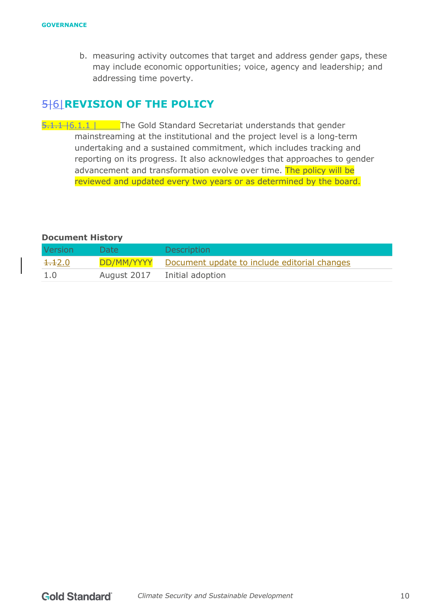b. measuring activity outcomes that target and address gender gaps, these may include economic opportunities; voice, agency and leadership; and addressing time poverty.

## 5|6|**REVISION OF THE POLICY**

 $\overline{5.1.1 + 6.1.1}$  | The Gold Standard Secretariat understands that gender mainstreaming at the institutional and the project level is a long-term undertaking and a sustained commitment, which includes tracking and reporting on its progress. It also acknowledges that approaches to gender advancement and transformation evolve over time. The policy will be reviewed and updated every two years or as determined by the board.

#### **Document History**

| Version            | Date:       | <b>Description</b>                                      |
|--------------------|-------------|---------------------------------------------------------|
| <del>1.1</del> 2.0 |             | DD/MM/YYYY Document update to include editorial changes |
| 1.0                | August 2017 | Initial adoption                                        |